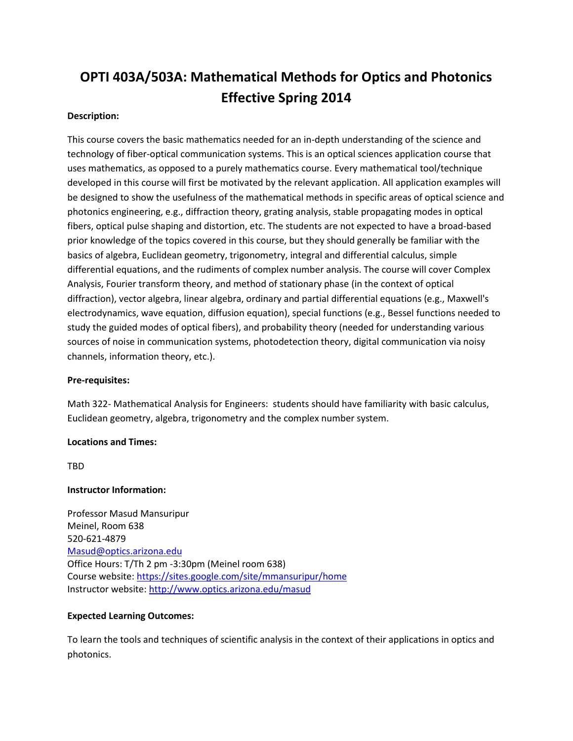# **OPTI 403A/503A: Mathematical Methods for Optics and Photonics Effective Spring 2014**

# **Description:**

This course covers the basic mathematics needed for an in-depth understanding of the science and technology of fiber-optical communication systems. This is an optical sciences application course that uses mathematics, as opposed to a purely mathematics course. Every mathematical tool/technique developed in this course will first be motivated by the relevant application. All application examples will be designed to show the usefulness of the mathematical methods in specific areas of optical science and photonics engineering, e.g., diffraction theory, grating analysis, stable propagating modes in optical fibers, optical pulse shaping and distortion, etc. The students are not expected to have a broad-based prior knowledge of the topics covered in this course, but they should generally be familiar with the basics of algebra, Euclidean geometry, trigonometry, integral and differential calculus, simple differential equations, and the rudiments of complex number analysis. The course will cover Complex Analysis, Fourier transform theory, and method of stationary phase (in the context of optical diffraction), vector algebra, linear algebra, ordinary and partial differential equations (e.g., Maxwell's electrodynamics, wave equation, diffusion equation), special functions (e.g., Bessel functions needed to study the guided modes of optical fibers), and probability theory (needed for understanding various sources of noise in communication systems, photodetection theory, digital communication via noisy channels, information theory, etc.).

# **Pre-requisites:**

Math 322- Mathematical Analysis for Engineers: students should have familiarity with basic calculus, Euclidean geometry, algebra, trigonometry and the complex number system.

# **Locations and Times:**

TBD

# **Instructor Information:**

Professor Masud Mansuripur Meinel, Room 638 520-621-4879 [Masud@optics.arizona.edu](mailto:Masud@optics.arizona.edu) Office Hours: T/Th 2 pm -3:30pm (Meinel room 638) Course website:<https://sites.google.com/site/mmansuripur/home> Instructor website:<http://www.optics.arizona.edu/masud>

# **Expected Learning Outcomes:**

To learn the tools and techniques of scientific analysis in the context of their applications in optics and photonics.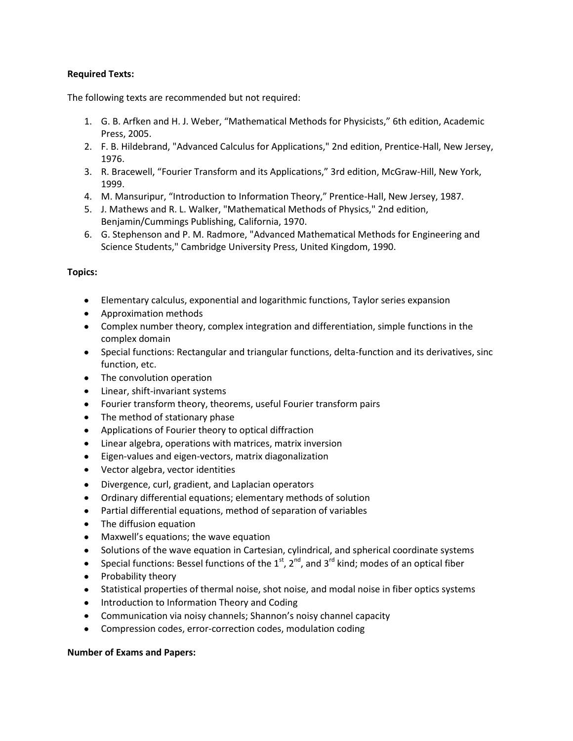# **Required Texts:**

The following texts are recommended but not required:

- 1. G. B. Arfken and H. J. Weber, "Mathematical Methods for Physicists," 6th edition, Academic Press, 2005.
- 2. F. B. Hildebrand, "Advanced Calculus for Applications," 2nd edition, Prentice-Hall, New Jersey, 1976.
- 3. R. Bracewell, "Fourier Transform and its Applications," 3rd edition, McGraw-Hill, New York, 1999.
- 4. M. Mansuripur, "Introduction to Information Theory," Prentice-Hall, New Jersey, 1987.
- 5. J. Mathews and R. L. Walker, "Mathematical Methods of Physics," 2nd edition, Benjamin/Cummings Publishing, California, 1970.
- 6. G. Stephenson and P. M. Radmore, "Advanced Mathematical Methods for Engineering and Science Students," Cambridge University Press, United Kingdom, 1990.

# **Topics:**

- Elementary calculus, exponential and logarithmic functions, Taylor series expansion
- Approximation methods
- Complex number theory, complex integration and differentiation, simple functions in the complex domain
- Special functions: Rectangular and triangular functions, delta-function and its derivatives, sinc function, etc.
- The convolution operation
- Linear, shift-invariant systems
- Fourier transform theory, theorems, useful Fourier transform pairs
- The method of stationary phase
- $\bullet$ Applications of Fourier theory to optical diffraction
- Linear algebra, operations with matrices, matrix inversion  $\bullet$
- $\bullet$ Eigen-values and eigen-vectors, matrix diagonalization
- Vector algebra, vector identities
- $\bullet$ Divergence, curl, gradient, and Laplacian operators
- Ordinary differential equations; elementary methods of solution
- Partial differential equations, method of separation of variables
- The diffusion equation  $\bullet$
- Maxwell's equations; the wave equation
- Solutions of the wave equation in Cartesian, cylindrical, and spherical coordinate systems
- Special functions: Bessel functions of the  $1<sup>st</sup>$ ,  $2<sup>nd</sup>$ , and  $3<sup>rd</sup>$  kind; modes of an optical fiber  $\bullet$
- Probability theory
- Statistical properties of thermal noise, shot noise, and modal noise in fiber optics systems
- Introduction to Information Theory and Coding
- Communication via noisy channels; Shannon's noisy channel capacity
- Compression codes, error-correction codes, modulation coding  $\bullet$

# **Number of Exams and Papers:**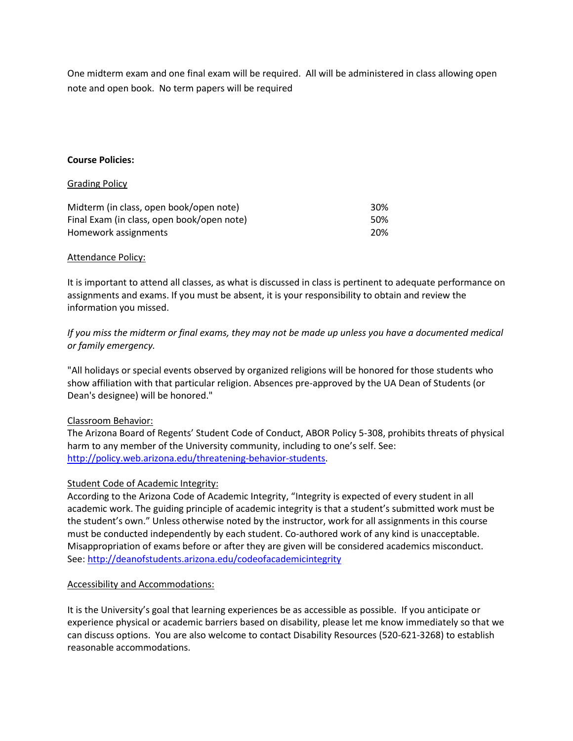One midterm exam and one final exam will be required. All will be administered in class allowing open note and open book. No term papers will be required

# **Course Policies:**

#### Grading Policy

| Midterm (in class, open book/open note)    | 30% |
|--------------------------------------------|-----|
| Final Exam (in class, open book/open note) | 50% |
| Homework assignments                       | 20% |

#### Attendance Policy:

It is important to attend all classes, as what is discussed in class is pertinent to adequate performance on assignments and exams. If you must be absent, it is your responsibility to obtain and review the information you missed.

# *If you miss the midterm or final exams, they may not be made up unless you have a documented medical or family emergency.*

"All holidays or special events observed by organized religions will be honored for those students who show affiliation with that particular religion. Absences pre-approved by the UA Dean of Students (or Dean's designee) will be honored."

# Classroom Behavior:

The Arizona Board of Regents' Student Code of Conduct, ABOR Policy 5-308, prohibits threats of physical harm to any member of the University community, including to one's self. See: [http://policy.web.arizona.edu/threatening-behavior-students.](http://policy.web.arizona.edu/threatening-behavior-students)

# Student Code of Academic Integrity:

According to th[e Arizona Code of Academic Integrity,](http://deanofstudents.arizona.edu/aboutdeanofstudents) "Integrity is expected of every student in all academic work. The guiding principle of academic integrity is that a student's submitted work must be the student's own." Unless otherwise noted by the instructor, work for all assignments in this course must be conducted independently by each student. Co-authored work of any kind is unacceptable. Misappropriation of exams before or after they are given will be considered academics misconduct. See[: http://deanofstudents.arizona.edu/codeofacademicintegrity](http://deanofstudents.arizona.edu/codeofacademicintegrity)

# Accessibility and Accommodations:

It is the University's goal that learning experiences be as accessible as possible. If you anticipate or experience physical or academic barriers based on disability, please let me know immediately so that we can discuss options. You are also welcome to contact Disability Resources (520-621-3268) to establish reasonable accommodations.